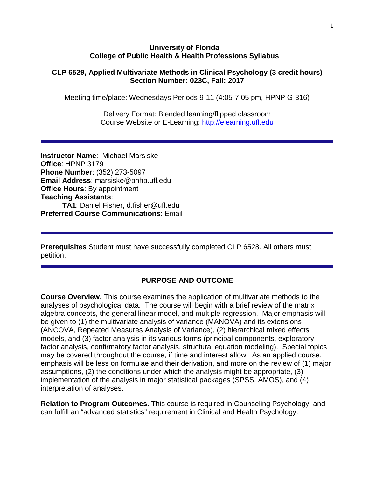#### **University of Florida College of Public Health & Health Professions Syllabus**

#### **CLP 6529, Applied Multivariate Methods in Clinical Psychology (3 credit hours) Section Number: 023C, Fall: 2017**

Meeting time/place: Wednesdays Periods 9-11 (4:05-7:05 pm, HPNP G-316)

Delivery Format: Blended learning/flipped classroom Course Website or E-Learning: [http://elearning.ufl.edu](http://elearning.ufl.edu/)

**Instructor Name**: Michael Marsiske **Office**: HPNP 3179 **Phone Number**: (352) 273-5097 **Email Address**: marsiske@phhp.ufl.edu **Office Hours**: By appointment **Teaching Assistants**: **TA1**: Daniel Fisher, d.fisher@ufl.edu **Preferred Course Communications**: Email

**Prerequisites** Student must have successfully completed CLP 6528. All others must petition.

## **PURPOSE AND OUTCOME**

**Course Overview.** This course examines the application of multivariate methods to the analyses of psychological data. The course will begin with a brief review of the matrix algebra concepts, the general linear model, and multiple regression. Major emphasis will be given to (1) the multivariate analysis of variance (MANOVA) and its extensions (ANCOVA, Repeated Measures Analysis of Variance), (2) hierarchical mixed effects models, and (3) factor analysis in its various forms (principal components, exploratory factor analysis, confirmatory factor analysis, structural equation modeling). Special topics may be covered throughout the course, if time and interest allow. As an applied course, emphasis will be less on formulae and their derivation, and more on the review of (1) major assumptions, (2) the conditions under which the analysis might be appropriate, (3) implementation of the analysis in major statistical packages (SPSS, AMOS), and (4) interpretation of analyses.

**Relation to Program Outcomes.** This course is required in Counseling Psychology, and can fulfill an "advanced statistics" requirement in Clinical and Health Psychology.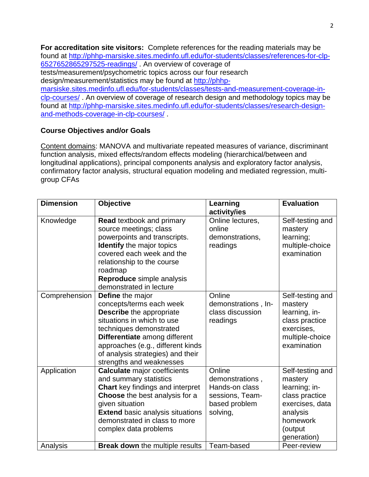**For accreditation site visitors:** Complete references for the reading materials may be found at [http://phhp-marsiske.sites.medinfo.ufl.edu/for-students/classes/references-for-clp-](http://phhp-marsiske.sites.medinfo.ufl.edu/for-students/classes/references-for-clp-6527652865297525-readings/)[6527652865297525-readings/](http://phhp-marsiske.sites.medinfo.ufl.edu/for-students/classes/references-for-clp-6527652865297525-readings/) . An overview of coverage of tests/measurement/psychometric topics across our four research design/measurement/statistics may be found at [http://phhp](http://phhp-marsiske.sites.medinfo.ufl.edu/for-students/classes/tests-and-measurement-coverage-in-clp-courses/)[marsiske.sites.medinfo.ufl.edu/for-students/classes/tests-and-measurement-coverage-in](http://phhp-marsiske.sites.medinfo.ufl.edu/for-students/classes/tests-and-measurement-coverage-in-clp-courses/)[clp-courses/](http://phhp-marsiske.sites.medinfo.ufl.edu/for-students/classes/tests-and-measurement-coverage-in-clp-courses/) . An overview of coverage of research design and methodology topics may be found at [http://phhp-marsiske.sites.medinfo.ufl.edu/for-students/classes/research-design](http://phhp-marsiske.sites.medinfo.ufl.edu/for-students/classes/research-design-and-methods-coverage-in-clp-courses/)[and-methods-coverage-in-clp-courses/](http://phhp-marsiske.sites.medinfo.ufl.edu/for-students/classes/research-design-and-methods-coverage-in-clp-courses/) .

## **Course Objectives and/or Goals**

Content domains: MANOVA and multivariate repeated measures of variance, discriminant function analysis, mixed effects/random effects modeling (hierarchical/between and longitudinal applications), principal components analysis and exploratory factor analysis, confirmatory factor analysis, structural equation modeling and mediated regression, multigroup CFAs

| <b>Dimension</b> | <b>Objective</b>                                                                                                                                                                                                                                                                       | Learning<br>activity/ies                                                                    | <b>Evaluation</b>                                                                                                                   |
|------------------|----------------------------------------------------------------------------------------------------------------------------------------------------------------------------------------------------------------------------------------------------------------------------------------|---------------------------------------------------------------------------------------------|-------------------------------------------------------------------------------------------------------------------------------------|
| Knowledge        | <b>Read textbook and primary</b><br>source meetings; class<br>powerpoints and transcripts.<br><b>Identify</b> the major topics<br>covered each week and the<br>relationship to the course<br>roadmap<br>Reproduce simple analysis<br>demonstrated in lecture                           | Online lectures,<br>online<br>demonstrations,<br>readings                                   | Self-testing and<br>mastery<br>learning;<br>multiple-choice<br>examination                                                          |
| Comprehension    | <b>Define</b> the major<br>concepts/terms each week<br><b>Describe</b> the appropriate<br>situations in which to use<br>techniques demonstrated<br>Differentiate among different<br>approaches (e.g., different kinds<br>of analysis strategies) and their<br>strengths and weaknesses | Online<br>demonstrations, In-<br>class discussion<br>readings                               | Self-testing and<br>mastery<br>learning, in-<br>class practice<br>exercises,<br>multiple-choice<br>examination                      |
| Application      | <b>Calculate major coefficients</b><br>and summary statistics<br><b>Chart</b> key findings and interpret<br>Choose the best analysis for a<br>given situation<br><b>Extend basic analysis situations</b><br>demonstrated in class to more<br>complex data problems                     | Online<br>demonstrations,<br>Hands-on class<br>sessions, Team-<br>based problem<br>solving, | Self-testing and<br>mastery<br>learning; in-<br>class practice<br>exercises, data<br>analysis<br>homework<br>(output<br>generation) |
| Analysis         | <b>Break down</b> the multiple results                                                                                                                                                                                                                                                 | Team-based                                                                                  | Peer-review                                                                                                                         |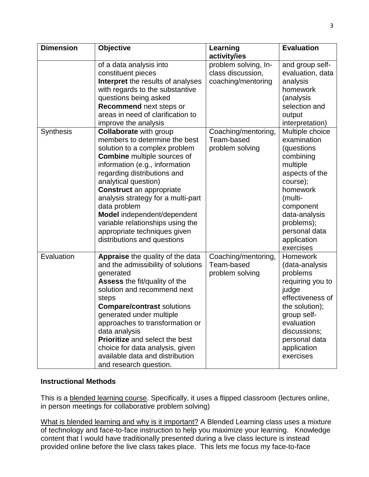| <b>Dimension</b> | <b>Objective</b>                                                                                                                                                                                                                                                                                                                                                                                                                                          | Learning<br>activity/ies                                        | <b>Evaluation</b>                                                                                                                                                                                                   |  |  |
|------------------|-----------------------------------------------------------------------------------------------------------------------------------------------------------------------------------------------------------------------------------------------------------------------------------------------------------------------------------------------------------------------------------------------------------------------------------------------------------|-----------------------------------------------------------------|---------------------------------------------------------------------------------------------------------------------------------------------------------------------------------------------------------------------|--|--|
|                  | of a data analysis into<br>constituent pieces<br><b>Interpret</b> the results of analyses<br>with regards to the substantive<br>questions being asked<br>Recommend next steps or<br>areas in need of clarification to<br>improve the analysis                                                                                                                                                                                                             | problem solving, In-<br>class discussion,<br>coaching/mentoring | and group self-<br>evaluation, data<br>analysis<br>homework<br>(analysis<br>selection and<br>output<br>interpretation)                                                                                              |  |  |
| <b>Synthesis</b> | <b>Collaborate with group</b><br>members to determine the best<br>solution to a complex problem<br><b>Combine</b> multiple sources of<br>information (e.g., information<br>regarding distributions and<br>analytical question)<br><b>Construct</b> an appropriate<br>analysis strategy for a multi-part<br>data problem<br>Model independent/dependent<br>variable relationships using the<br>appropriate techniques given<br>distributions and questions | Coaching/mentoring,<br>Team-based<br>problem solving            | Multiple choice<br>examination<br>(questions<br>combining<br>multiple<br>aspects of the<br>course);<br>homework<br>(multi-<br>component<br>data-analysis<br>problems);<br>personal data<br>application<br>exercises |  |  |
| Evaluation       | <b>Appraise</b> the quality of the data<br>and the admissibility of solutions<br>generated<br><b>Assess the fit/quality of the</b><br>solution and recommend next<br>steps<br><b>Compare/contrast solutions</b><br>generated under multiple<br>approaches to transformation or<br>data analysis<br><b>Prioritize</b> and select the best<br>choice for data analysis, given<br>available data and distribution<br>and research question.                  | Coaching/mentoring,<br>Team-based<br>problem solving            | <b>Homework</b><br>(data-analysis<br>problems<br>requiring you to<br>judge<br>effectiveness of<br>the solution);<br>group self-<br>evaluation<br>discussions;<br>personal data<br>application<br>exercises          |  |  |

## **Instructional Methods**

This is a blended learning course. Specifically, it uses a flipped classroom (lectures online, in person meetings for collaborative problem solving)

What is blended learning and why is it important? A Blended Learning class uses a mixture of technology and face-to-face instruction to help you maximize your learning. Knowledge content that I would have traditionally presented during a live class lecture is instead provided online before the live class takes place. This lets me focus my face-to-face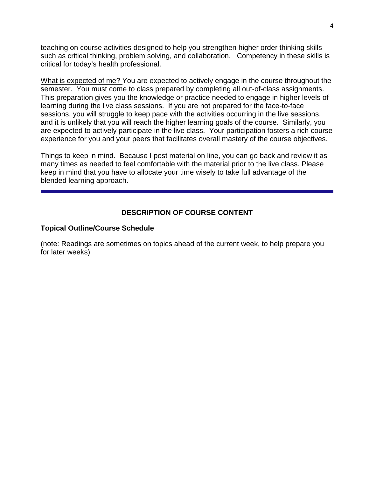teaching on course activities designed to help you strengthen higher order thinking skills such as critical thinking, problem solving, and collaboration. Competency in these skills is critical for today's health professional.

What is expected of me? You are expected to actively engage in the course throughout the semester. You must come to class prepared by completing all out-of-class assignments. This preparation gives you the knowledge or practice needed to engage in higher levels of learning during the live class sessions. If you are not prepared for the face-to-face sessions, you will struggle to keep pace with the activities occurring in the live sessions, and it is unlikely that you will reach the higher learning goals of the course. Similarly, you are expected to actively participate in the live class. Your participation fosters a rich course experience for you and your peers that facilitates overall mastery of the course objectives.

Things to keep in mind. Because I post material on line, you can go back and review it as many times as needed to feel comfortable with the material prior to the live class. Please keep in mind that you have to allocate your time wisely to take full advantage of the blended learning approach.

## **DESCRIPTION OF COURSE CONTENT**

#### **Topical Outline/Course Schedule**

(note: Readings are sometimes on topics ahead of the current week, to help prepare you for later weeks)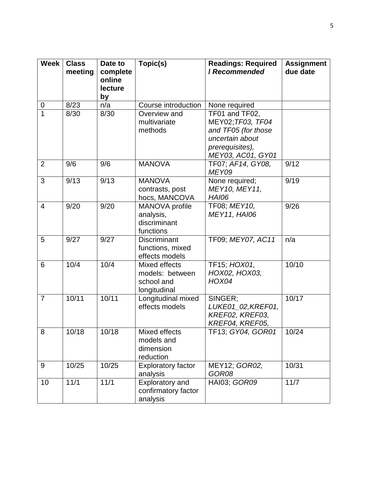| <b>Week</b>    | <b>Class</b><br>meeting | Date to<br>complete<br>online<br>lecture<br>by | Topic(s)                                                       | <b>Readings: Required</b><br><b>/ Recommended</b>                                                                     | <b>Assignment</b><br>due date |
|----------------|-------------------------|------------------------------------------------|----------------------------------------------------------------|-----------------------------------------------------------------------------------------------------------------------|-------------------------------|
| 0              | 8/23                    | n/a                                            | Course introduction                                            | None required                                                                                                         |                               |
| $\mathbf{1}$   | 8/30                    | 8/30                                           | Overview and<br>multivariate<br>methods                        | TF01 and TF02,<br>MEY02; TF03, TF04<br>and TF05 (for those<br>uncertain about<br>prerequisites),<br>MEY03, AC01, GY01 |                               |
| $\overline{2}$ | 9/6                     | 9/6                                            | <b>MANOVA</b>                                                  | TF07; AF14, GY08,<br>MEY09                                                                                            | 9/12                          |
| 3              | 9/13                    | 9/13                                           | <b>MANOVA</b><br>contrasts, post<br>hocs, MANCOVA              | None required;<br>MEY10, MEY11,<br><b>HAI06</b>                                                                       | 9/19                          |
| $\overline{4}$ | 9/20                    | 9/20                                           | MANOVA profile<br>analysis,<br>discriminant<br>functions       | TF08; MEY10,<br><b>MEY11, HAI06</b>                                                                                   | 9/26                          |
| 5              | 9/27                    | 9/27                                           | <b>Discriminant</b><br>functions, mixed<br>effects models      | TF09; MEY07, AC11                                                                                                     | n/a                           |
| 6              | 10/4                    | 10/4                                           | Mixed effects<br>models: between<br>school and<br>longitudinal | TF15; HOX01,<br>HOX02, HOX03,<br><b>HOX04</b>                                                                         | 10/10                         |
| $\overline{7}$ | 10/11                   | 10/11                                          | Longitudinal mixed<br>effects models                           | SINGER;<br>LUKE01_02, KREF01,<br>KREF02, KREF03,<br>KREF04, KREF05,                                                   | 10/17                         |
| 8              | 10/18                   | 10/18                                          | Mixed effects<br>models and<br>dimension<br>reduction          | TF13; GY04, GOR01                                                                                                     | 10/24                         |
| 9              | 10/25                   | 10/25                                          | <b>Exploratory factor</b><br>analysis                          | MEY12; GOR02,<br>GOR08                                                                                                | 10/31                         |
| 10             | 11/1                    | 11/1                                           | Exploratory and<br>confirmatory factor<br>analysis             | HAI03; GOR09                                                                                                          | 11/7                          |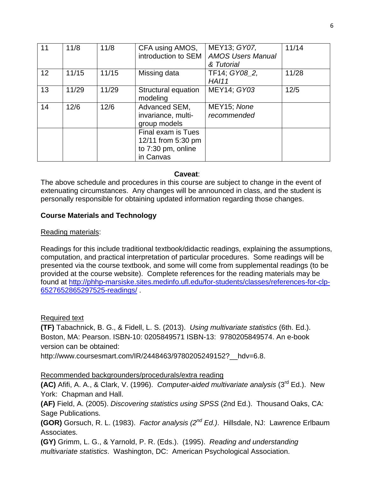| 11 | 11/8  | 11/8  | CFA using AMOS,<br>introduction to SEM                                      | MEY13; GY07,<br><b>AMOS Users Manual</b><br>& Tutorial | 11/14 |
|----|-------|-------|-----------------------------------------------------------------------------|--------------------------------------------------------|-------|
| 12 | 11/15 | 11/15 | Missing data                                                                | TF14; GY08 2,<br><b>HA111</b>                          | 11/28 |
| 13 | 11/29 | 11/29 | Structural equation<br>modeling                                             | MEY14; GY03                                            | 12/5  |
| 14 | 12/6  | 12/6  | Advanced SEM,<br>invariance, multi-<br>group models                         | MEY15; None<br>recommended                             |       |
|    |       |       | Final exam is Tues<br>12/11 from 5:30 pm<br>to 7:30 pm, online<br>in Canvas |                                                        |       |

#### **Caveat**:

The above schedule and procedures in this course are subject to change in the event of extenuating circumstances. Any changes will be announced in class, and the student is personally responsible for obtaining updated information regarding those changes.

## **Course Materials and Technology**

## Reading materials:

Readings for this include traditional textbook/didactic readings, explaining the assumptions, computation, and practical interpretation of particular procedures. Some readings will be presented via the course textbook, and some will come from supplemental readings (to be provided at the course website).Complete references for the reading materials may be found at [http://phhp-marsiske.sites.medinfo.ufl.edu/for-students/classes/references-for-clp-](http://phhp-marsiske.sites.medinfo.ufl.edu/for-students/classes/references-for-clp-6527652865297525-readings/)[6527652865297525-readings/](http://phhp-marsiske.sites.medinfo.ufl.edu/for-students/classes/references-for-clp-6527652865297525-readings/) .

## Required text

**(TF)** Tabachnick, B. G., & Fidell, L. S. (2013). *Using multivariate statistics* (6th. Ed.). Boston, MA: Pearson. ISBN-10: 0205849571 ISBN-13: 9780205849574. An e-book version can be obtained:

http://www.coursesmart.com/IR/2448463/9780205249152?\_\_hdv=6.8.

# Recommended backgrounders/procedurals/extra reading

**(AC)** Afifi, A. A., & Clark, V. (1996). *Computer-aided multivariate analysis* (3rd Ed.). New York: Chapman and Hall.

**(AF)** Field, A. (2005). *Discovering statistics using SPSS* (2nd Ed.). Thousand Oaks, CA: Sage Publications.

**(GOR)** Gorsuch, R. L. (1983). *Factor analysis (2nd Ed.)*. Hillsdale, NJ: Lawrence Erlbaum Associates.

**(GY)** Grimm, L. G., & Yarnold, P. R. (Eds.). (1995). *Reading and understanding multivariate statistics*. Washington, DC: American Psychological Association.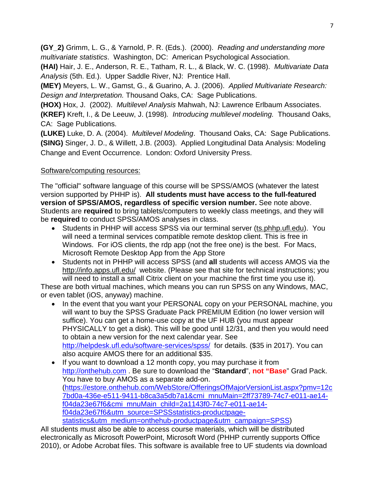**(GY\_2)** Grimm, L. G., & Yarnold, P. R. (Eds.). (2000). *Reading and understanding more multivariate statistics*. Washington, DC: American Psychological Association.

**(HAI)** Hair, J. E., Anderson, R. E., Tatham, R. L., & Black, W. C. (1998). *Multivariate Data Analysis* (5th. Ed.). Upper Saddle River, NJ: Prentice Hall.

**(MEY)** Meyers, L. W., Gamst, G., & Guarino, A. J. (2006). *Applied Multivariate Research: Design and Interpretation.* Thousand Oaks, CA: Sage Publications.

**(HOX)** Hox, J. (2002). *Multilevel Analysis* Mahwah, NJ: Lawrence Erlbaum Associates.

**(KREF)** Kreft, I., & De Leeuw, J. (1998)*. Introducing multilevel modeling.* Thousand Oaks, CA: Sage Publications.

**(LUKE)** Luke, D. A. (2004). *Multilevel Modeling*. Thousand Oaks, CA: Sage Publications. **(SING)** Singer, J. D., & Willett, J.B. (2003). Applied Longitudinal Data Analysis: Modeling Change and Event Occurrence. London: Oxford University Press.

# Software/computing resources:

The "official" software language of this course will be SPSS/AMOS (whatever the latest version supported by PHHP is). **All students must have access to the full-featured version of SPSS/AMOS, regardless of specific version number.** See note above. Students are **required** to bring tablets/computers to weekly class meetings, and they will be **required** to conduct SPSS/AMOS analyses in class.

- Students in PHHP will access SPSS via our terminal server (ts.phhp.ufl.edu). You will need a terminal services compatible remote desktop client. This is free in Windows. For iOS clients, the rdp app (not the free one) is the best. For Macs, Microsoft Remote Desktop App from the App Store
- Students not in PHHP will access SPSS (and **all** students will access AMOS via the http://info.apps.ufl.edu/ website. (Please see that site for technical instructions; you will need to install a small Citrix client on your machine the first time you use it).

These are both virtual machines, which means you can run SPSS on any Windows, MAC, or even tablet (iOS, anyway) machine.

- In the event that you want your PERSONAL copy on your PERSONAL machine, you will want to buy the SPSS Graduate Pack PREMIUM Edition (no lower version will suffice). You can get a home-use copy at the UF HUB (you must appear PHYSICALLY to get a disk). This will be good until 12/31, and then you would need to obtain a new version for the next calendar year. See <http://helpdesk.ufl.edu/software-services/spss/> for details. (\$35 in 2017). You can also acquire AMOS there for an additional \$35.
- If you want to download a 12 month copy, you may purchase it from [http://onthehub.com](http://onthehub.com/) . Be sure to download the "**Standard**", **not "Base**" Grad Pack. You have to buy AMOS as a separate add-on. [\(https://estore.onthehub.com/WebStore/OfferingsOfMajorVersionList.aspx?pmv=12c](https://estore.onthehub.com/WebStore/OfferingsOfMajorVersionList.aspx?pmv=12c7bd0a-436e-e511-9411-b8ca3a5db7a1&cmi_mnuMain=2ff73789-74c7-e011-ae14-f04da23e67f6&cmi_mnuMain_child=2a1143f0-74c7-e011-ae14-f04da23e67f6&utm_source=SPSSstatistics-productpage-statistics&utm_medium=onthehub-productpage&utm_campaign=SPSS) [7bd0a-436e-e511-9411-b8ca3a5db7a1&cmi\\_mnuMain=2ff73789-74c7-e011-ae14](https://estore.onthehub.com/WebStore/OfferingsOfMajorVersionList.aspx?pmv=12c7bd0a-436e-e511-9411-b8ca3a5db7a1&cmi_mnuMain=2ff73789-74c7-e011-ae14-f04da23e67f6&cmi_mnuMain_child=2a1143f0-74c7-e011-ae14-f04da23e67f6&utm_source=SPSSstatistics-productpage-statistics&utm_medium=onthehub-productpage&utm_campaign=SPSS) [f04da23e67f6&cmi\\_mnuMain\\_child=2a1143f0-74c7-e011-ae14](https://estore.onthehub.com/WebStore/OfferingsOfMajorVersionList.aspx?pmv=12c7bd0a-436e-e511-9411-b8ca3a5db7a1&cmi_mnuMain=2ff73789-74c7-e011-ae14-f04da23e67f6&cmi_mnuMain_child=2a1143f0-74c7-e011-ae14-f04da23e67f6&utm_source=SPSSstatistics-productpage-statistics&utm_medium=onthehub-productpage&utm_campaign=SPSS) [f04da23e67f6&utm\\_source=SPSSstatistics-productpage](https://estore.onthehub.com/WebStore/OfferingsOfMajorVersionList.aspx?pmv=12c7bd0a-436e-e511-9411-b8ca3a5db7a1&cmi_mnuMain=2ff73789-74c7-e011-ae14-f04da23e67f6&cmi_mnuMain_child=2a1143f0-74c7-e011-ae14-f04da23e67f6&utm_source=SPSSstatistics-productpage-statistics&utm_medium=onthehub-productpage&utm_campaign=SPSS)[statistics&utm\\_medium=onthehub-productpage&utm\\_campaign=SPSS\)](https://estore.onthehub.com/WebStore/OfferingsOfMajorVersionList.aspx?pmv=12c7bd0a-436e-e511-9411-b8ca3a5db7a1&cmi_mnuMain=2ff73789-74c7-e011-ae14-f04da23e67f6&cmi_mnuMain_child=2a1143f0-74c7-e011-ae14-f04da23e67f6&utm_source=SPSSstatistics-productpage-statistics&utm_medium=onthehub-productpage&utm_campaign=SPSS)

All students must also be able to access course materials, which will be distributed electronically as Microsoft PowerPoint, Microsoft Word (PHHP currently supports Office 2010), or Adobe Acrobat files. This software is available free to UF students via download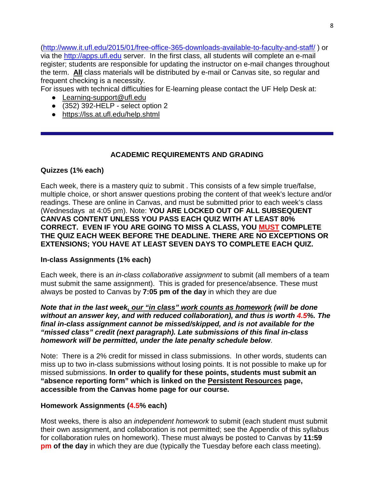[\(http://www.it.ufl.edu/2015/01/free-office-365-downloads-available-to-faculty-and-staff/](http://www.it.ufl.edu/2015/01/free-office-365-downloads-available-to-faculty-and-staff/) ) or via the [http://apps.ufl.edu](http://apps.ufl.edu/) server. In the first class, all students will complete an e-mail register; students are responsible for updating the instructor on e-mail changes throughout the term. **All** class materials will be distributed by e-mail or Canvas site, so regular and frequent checking is a necessity.

For issues with technical difficulties for E-learning please contact the UF Help Desk at:

- Learning-support@ufl.edu
- $\bullet$  (352) 392-HELP select option 2
- <https://lss.at.ufl.edu/help.shtml>

# **ACADEMIC REQUIREMENTS AND GRADING**

# **Quizzes (1% each)**

Each week, there is a mastery quiz to submit . This consists of a few simple true/false, multiple choice, or short answer questions probing the content of that week's lecture and/or readings. These are online in Canvas, and must be submitted prior to each week's class (Wednesdays at 4:05 pm). Note: **YOU ARE LOCKED OUT OF ALL SUBSEQUENT CANVAS CONTENT UNLESS YOU PASS EACH QUIZ WITH AT LEAST 80% CORRECT. EVEN IF YOU ARE GOING TO MISS A CLASS, YOU MUST COMPLETE THE QUIZ EACH WEEK BEFORE THE DEADLINE. THERE ARE NO EXCEPTIONS OR EXTENSIONS; YOU HAVE AT LEAST SEVEN DAYS TO COMPLETE EACH QUIZ.**

# **In-class Assignments (1% each)**

Each week, there is an *in-class collaborative assignment* to submit (all members of a team must submit the same assignment). This is graded for presence/absence. These must always be posted to Canvas by **7:05 pm of the day** in which they are due

*Note that in the last week, our "in class" work counts as homework (will be done without an answer key, and with reduced collaboration), and thus is worth 4.5%. The final in-class assignment cannot be missed/skipped, and is not available for the "missed class" credit (next paragraph). Late submissions of this final in-class homework will be permitted, under the late penalty schedule below*.

Note: There is a 2% credit for missed in class submissions. In other words, students can miss up to two in-class submissions without losing points. It is not possible to make up for missed submissions. **In order to qualify for these points, students must submit an "absence reporting form" which is linked on the Persistent Resources page, accessible from the Canvas home page for our course.** 

# **Homework Assignments (4.5% each)**

Most weeks, there is also an *independent homework* to submit (each student must submit their own assignment, and collaboration is not permitted; see the Appendix of this syllabus for collaboration rules on homework). These must always be posted to Canvas by **11:59 pm of the day** in which they are due (typically the Tuesday before each class meeting).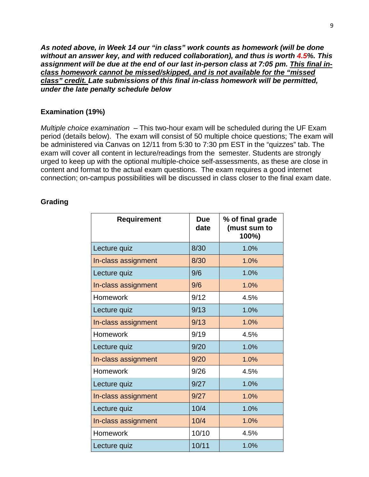*As noted above, in Week 14 our "in class" work counts as homework (will be done without an answer key, and with reduced collaboration), and thus is worth 4.5%. This assignment will be due at the end of our last in-person class at 7:05 pm. This final inclass homework cannot be missed/skipped, and is not available for the "missed class" credit. Late submissions of this final in-class homework will be permitted, under the late penalty schedule below*

## **Examination (19%)**

*Multiple choice examination* – This two-hour exam will be scheduled during the UF Exam period (details below). The exam will consist of 50 multiple choice questions; The exam will be administered via Canvas on 12/11 from 5:30 to 7:30 pm EST in the "quizzes" tab. The exam will cover all content in lecture/readings from the semester. Students are strongly urged to keep up with the optional multiple-choice self-assessments, as these are close in content and format to the actual exam questions. The exam requires a good internet connection; on-campus possibilities will be discussed in class closer to the final exam date.

| <b>Requirement</b>  | <b>Due</b><br>date | % of final grade<br>(must sum to<br>100%) |
|---------------------|--------------------|-------------------------------------------|
| Lecture quiz        | 8/30               | 1.0%                                      |
| In-class assignment | 8/30               | 1.0%                                      |
| Lecture quiz        | 9/6                | 1.0%                                      |
| In-class assignment | 9/6                | 1.0%                                      |
| <b>Homework</b>     | 9/12               | 4.5%                                      |
| Lecture quiz        | 9/13               | 1.0%                                      |
| In-class assignment | 9/13               | 1.0%                                      |
| <b>Homework</b>     | 9/19               | 4.5%                                      |
| Lecture quiz        | 9/20               | 1.0%                                      |
| In-class assignment | 9/20               | 1.0%                                      |
| Homework            | 9/26               | 4.5%                                      |
| Lecture quiz        | 9/27               | 1.0%                                      |
| In-class assignment | 9/27               | 1.0%                                      |
| Lecture quiz        | 10/4               | 1.0%                                      |
| In-class assignment | 10/4               | 1.0%                                      |
| Homework            | 10/10              | 4.5%                                      |
| Lecture quiz        | 10/11              | 1.0%                                      |

#### **Grading**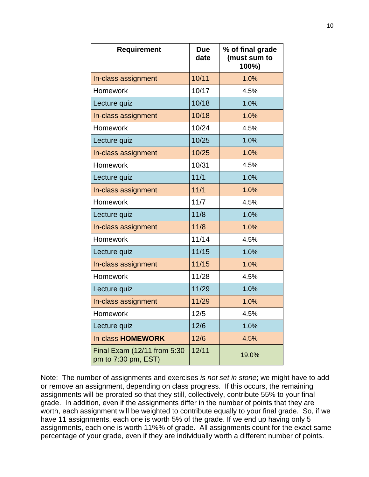| <b>Requirement</b>                                 | <b>Due</b><br>date | % of final grade<br>(must sum to<br>100%) |
|----------------------------------------------------|--------------------|-------------------------------------------|
| In-class assignment                                | 10/11              | 1.0%                                      |
| Homework                                           | 10/17              | 4.5%                                      |
| Lecture quiz                                       | 10/18              | 1.0%                                      |
| In-class assignment                                | 10/18              | 1.0%                                      |
| Homework                                           | 10/24              | 4.5%                                      |
| Lecture quiz                                       | 10/25              | 1.0%                                      |
| In-class assignment                                | 10/25              | 1.0%                                      |
| <b>Homework</b>                                    | 10/31              | 4.5%                                      |
| Lecture quiz                                       | 11/1               | 1.0%                                      |
| In-class assignment                                | 11/1               | 1.0%                                      |
| Homework                                           | 11/7               | 4.5%                                      |
| Lecture quiz                                       | 11/8               | 1.0%                                      |
| In-class assignment                                | 11/8               | 1.0%                                      |
| Homework                                           | 11/14              | 4.5%                                      |
| Lecture quiz                                       | 11/15              | 1.0%                                      |
| In-class assignment                                | 11/15              | 1.0%                                      |
| Homework                                           | 11/28              | 4.5%                                      |
| Lecture quiz                                       | 11/29              | 1.0%                                      |
| In-class assignment                                | 11/29              | 1.0%                                      |
| Homework                                           | 12/5               | 4.5%                                      |
| Lecture quiz                                       | 12/6               | 1.0%                                      |
| <b>In-class HOMEWORK</b>                           | 12/6               | 4.5%                                      |
| Final Exam (12/11 from 5:30<br>pm to 7:30 pm, EST) | 12/11              | 19.0%                                     |

Note: The number of assignments and exercises *is not set in stone*; we might have to add or remove an assignment, depending on class progress. If this occurs, the remaining assignments will be prorated so that they still, collectively, contribute 55% to your final grade. In addition, even if the assignments differ in the number of points that they are worth, each assignment will be weighted to contribute equally to your final grade. So, if we have 11 assignments, each one is worth 5% of the grade. If we end up having only 5 assignments, each one is worth 11%% of grade. All assignments count for the exact same percentage of your grade, even if they are individually worth a different number of points.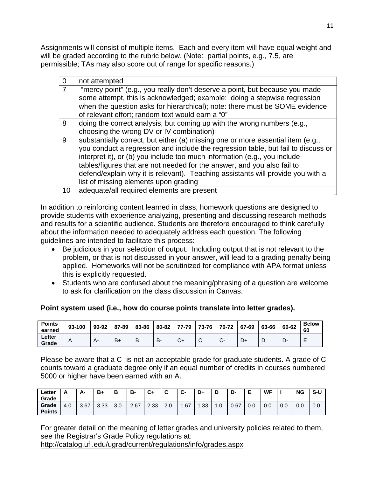Assignments will consist of multiple items. Each and every item will have equal weight and will be graded according to the rubric below. (Note: partial points, e.g., 7.5, are permissible; TAs may also score out of range for specific reasons.)

|    | not attempted                                                                                                                                                                                                                                                                                                                                                                                                                                            |
|----|----------------------------------------------------------------------------------------------------------------------------------------------------------------------------------------------------------------------------------------------------------------------------------------------------------------------------------------------------------------------------------------------------------------------------------------------------------|
|    | "mercy point" (e.g., you really don't deserve a point, but because you made<br>some attempt, this is acknowledged; example: doing a stepwise regression<br>when the question asks for hierarchical); note: there must be SOME evidence<br>of relevant effort; random text would earn a "0"                                                                                                                                                               |
| 8  | doing the correct analysis, but coming up with the wrong numbers (e.g.,<br>choosing the wrong DV or IV combination)                                                                                                                                                                                                                                                                                                                                      |
| 9  | substantially correct, but either (a) missing one or more essential item (e.g.,<br>you conduct a regression and include the regression table, but fail to discuss or<br>interpret it), or (b) you include too much information (e.g., you include<br>tables/figures that are not needed for the answer, and you also fail to<br>defend/explain why it is relevant). Teaching assistants will provide you with a<br>list of missing elements upon grading |
| 10 | adequate/all required elements are present                                                                                                                                                                                                                                                                                                                                                                                                               |

In addition to reinforcing content learned in class, homework questions are designed to provide students with experience analyzing, presenting and discussing research methods and results for a scientific audience. Students are therefore encouraged to think carefully about the information needed to adequately address each question. The following guidelines are intended to facilitate this process:

- Be judicious in your selection of output. Including output that is not relevant to the problem, or that is not discussed in your answer, will lead to a grading penalty being applied. Homeworks will not be scrutinized for compliance with APA format unless this is explicitly requested.
- Students who are confused about the meaning/phrasing of a question are welcome to ask for clarification on the class discussion in Canvas.

# **Point system used (i.e., how do course points translate into letter grades).**

| <b>Points</b><br>earned | 93-100 | 90-92 | 87-89 | 83-86 |    |              |   | 80-82 77-79 73-76 70-72 67-69 |    | 63-66 | 60-62 | <b>Below</b><br>60 |
|-------------------------|--------|-------|-------|-------|----|--------------|---|-------------------------------|----|-------|-------|--------------------|
| Letter<br>Grade         | A      | д.    | $B+$  | B     | D. | $\mathbf{v}$ | ັ | J.                            | D+ |       |       |                    |

Please be aware that a C- is not an acceptable grade for graduate students. A grade of C counts toward a graduate degree only if an equal number of credits in courses numbered 5000 or higher have been earned with an A.

| $\leftarrow$ etter<br>Grade | <u>r</u> | А-   | B+   | В   | в-   | C+   | ~               | ~<br>יש. | D+               | D    | D-   |     | <b>WF</b> |     | <b>NG</b> | S-U |
|-----------------------------|----------|------|------|-----|------|------|-----------------|----------|------------------|------|------|-----|-----------|-----|-----------|-----|
| Grade<br><b>Points</b>      | 4.0      | 3.67 | 3.33 | 3.0 | 2.67 | 2.33 | $\Omega$<br>z.u | .67      | $\overline{.}33$ | . .U | 0.67 | 0.0 | 0.0       | 0.0 | 0.0       | 0.0 |

For greater detail on the meaning of letter grades and university policies related to them, see the Registrar's Grade Policy regulations at:

<http://catalog.ufl.edu/ugrad/current/regulations/info/grades.aspx>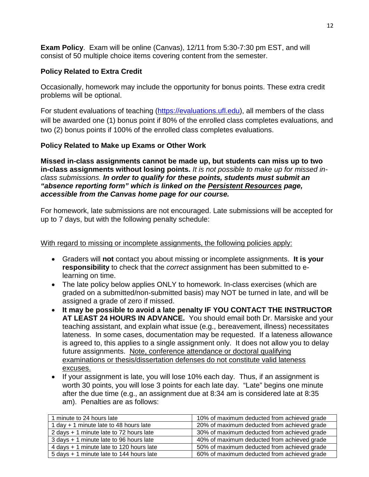**Exam Policy**. Exam will be online (Canvas), 12/11 from 5:30-7:30 pm EST, and will consist of 50 multiple choice items covering content from the semester.

## **Policy Related to Extra Credit**

Occasionally, homework may include the opportunity for bonus points. These extra credit problems will be optional.

For student evaluations of teaching [\(https://evaluations.ufl.edu\)](https://evaluations.ufl.edu/), all members of the class will be awarded one (1) bonus point if 80% of the enrolled class completes evaluations, and two (2) bonus points if 100% of the enrolled class completes evaluations.

## **Policy Related to Make up Exams or Other Work**

**Missed in-class assignments cannot be made up, but students can miss up to two in-class assignments without losing points.** *It is not possible to make up for missed inclass submissions. In order to qualify for these points, students must submit an "absence reporting form" which is linked on the Persistent Resources page, accessible from the Canvas home page for our course.* 

For homework, late submissions are not encouraged. Late submissions will be accepted for up to 7 days, but with the following penalty schedule:

## With regard to missing or incomplete assignments, the following policies apply:

- Graders will **not** contact you about missing or incomplete assignments. **It is your responsibility** to check that the *correct* assignment has been submitted to elearning on time.
- The late policy below applies ONLY to homework. In-class exercises (which are graded on a submitted/non-submitted basis) may NOT be turned in late, and will be assigned a grade of zero if missed.
- **It may be possible to avoid a late penalty IF YOU CONTACT THE INSTRUCTOR AT LEAST 24 HOURS IN ADVANCE.** You should email both Dr. Marsiske and your teaching assistant, and explain what issue (e.g., bereavement, illness) necessitates lateness. In some cases, documentation may be requested. If a lateness allowance is agreed to, this applies to a single assignment only. It does not allow you to delay future assignments. Note, conference attendance or doctoral qualifying examinations or thesis/dissertation defenses do not constitute valid lateness excuses.
- If your assignment is late, you will lose 10% each day. Thus, if an assignment is worth 30 points, you will lose 3 points for each late day. "Late" begins one minute after the due time (e.g., an assignment due at 8:34 am is considered late at 8:35 am). Penalties are as follows:

| 1 minute to 24 hours late                | 10% of maximum deducted from achieved grade |
|------------------------------------------|---------------------------------------------|
| 1 day + 1 minute late to 48 hours late   | 20% of maximum deducted from achieved grade |
| 2 days + 1 minute late to 72 hours late  | 30% of maximum deducted from achieved grade |
| 3 days + 1 minute late to 96 hours late  | 40% of maximum deducted from achieved grade |
| 4 days + 1 minute late to 120 hours late | 50% of maximum deducted from achieved grade |
| 5 days + 1 minute late to 144 hours late | 60% of maximum deducted from achieved grade |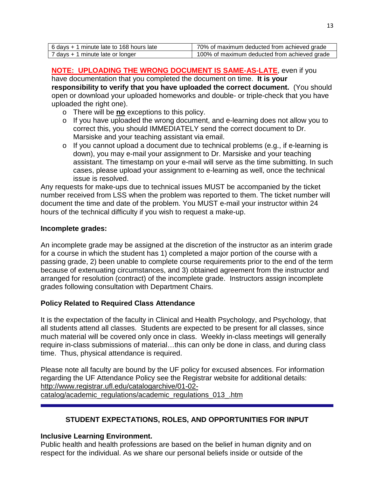| 6 days + 1 minute late to 168 hours late | 70% of maximum deducted from achieved grade  |
|------------------------------------------|----------------------------------------------|
| 7 days + 1 minute late or longer         | 100% of maximum deducted from achieved grade |

**NOTE: UPLOADING THE WRONG DOCUMENT IS SAME-AS-LATE**, even if you have documentation that you completed the document on time. **It is your responsibility to verify that you have uploaded the correct document.** (You should open or download your uploaded homeworks and double- or triple-check that you have uploaded the right one).

- o There will be **no** exceptions to this policy.
- o If you have uploaded the wrong document, and e-learning does not allow you to correct this, you should IMMEDIATELY send the correct document to Dr. Marsiske and your teaching assistant via email.
- o If you cannot upload a document due to technical problems (e.g., if e-learning is down), you may e-mail your assignment to Dr. Marsiske and your teaching assistant. The timestamp on your e-mail will serve as the time submitting. In such cases, please upload your assignment to e-learning as well, once the technical issue is resolved.

Any requests for make-ups due to technical issues MUST be accompanied by the ticket number received from LSS when the problem was reported to them. The ticket number will document the time and date of the problem. You MUST e-mail your instructor within 24 hours of the technical difficulty if you wish to request a make-up.

## **Incomplete grades:**

An incomplete grade may be assigned at the discretion of the instructor as an interim grade for a course in which the student has 1) completed a major portion of the course with a passing grade, 2) been unable to complete course requirements prior to the end of the term because of extenuating circumstances, and 3) obtained agreement from the instructor and arranged for resolution (contract) of the incomplete grade. Instructors assign incomplete grades following consultation with Department Chairs.

## **Policy Related to Required Class Attendance**

It is the expectation of the faculty in Clinical and Health Psychology, and Psychology, that all students attend all classes. Students are expected to be present for all classes, since much material will be covered only once in class. Weekly in-class meetings will generally require in-class submissions of material…this can only be done in class, and during class time. Thus, physical attendance is required.

Please note all faculty are bound by the UF policy for excused absences. For information regarding the UF Attendance Policy see the Registrar website for additional details: [http://www.registrar.ufl.edu/catalogarchive/01-02](http://www.registrar.ufl.edu/catalogarchive/01-02-catalog/academic_regulations/academic_regulations_013_.htm) [catalog/academic\\_regulations/academic\\_regulations\\_013\\_.htm](http://www.registrar.ufl.edu/catalogarchive/01-02-catalog/academic_regulations/academic_regulations_013_.htm)

# **STUDENT EXPECTATIONS, ROLES, AND OPPORTUNITIES FOR INPUT**

## **Inclusive Learning Environment.**

Public health and health professions are based on the belief in human dignity and on respect for the individual. As we share our personal beliefs inside or outside of the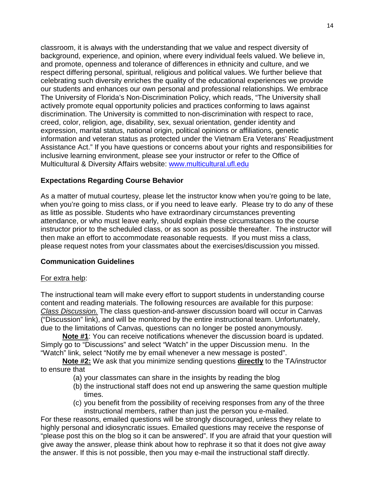classroom, it is always with the understanding that we value and respect diversity of background, experience, and opinion, where every individual feels valued. We believe in, and promote, openness and tolerance of differences in ethnicity and culture, and we respect differing personal, spiritual, religious and political values. We further believe that celebrating such diversity enriches the quality of the educational experiences we provide our students and enhances our own personal and professional relationships. We embrace The University of Florida's Non-Discrimination Policy, which reads, "The University shall actively promote equal opportunity policies and practices conforming to laws against discrimination. The University is committed to non-discrimination with respect to race, creed, color, religion, age, disability, sex, sexual orientation, gender identity and expression, marital status, national origin, political opinions or affiliations, genetic information and veteran status as protected under the Vietnam Era Veterans' Readjustment Assistance Act." If you have questions or concerns about your rights and responsibilities for inclusive learning environment, please see your instructor or refer to the Office of Multicultural & Diversity Affairs website: [www.multicultural.ufl.edu](http://www.multicultural.ufl.edu/)

## **Expectations Regarding Course Behavior**

As a matter of mutual courtesy, please let the instructor know when you're going to be late, when you're going to miss class, or if you need to leave early. Please try to do any of these as little as possible. Students who have extraordinary circumstances preventing attendance, or who must leave early, should explain these circumstances to the course instructor prior to the scheduled class, or as soon as possible thereafter. The instructor will then make an effort to accommodate reasonable requests. If you must miss a class, please request notes from your classmates about the exercises/discussion you missed.

## **Communication Guidelines**

## For extra help:

The instructional team will make every effort to support students in understanding course content and reading materials. The following resources are available for this purpose: *Class Discussion.* The class question-and-answer discussion board will occur in Canvas ("Discussion" link), and will be monitored by the entire instructional team. Unfortunately, due to the limitations of Canvas, questions can no longer be posted anonymously.

**Note #1**: You can receive notifications whenever the discussion board is updated. Simply go to "Discussions" and select "Watch" in the upper Discussion menu. In the "Watch" link, select "Notify me by email whenever a new message is posted".

**Note #2:** We ask that you minimize sending questions **directly** to the TA/instructor to ensure that

- (a) your classmates can share in the insights by reading the blog
- (b) the instructional staff does not end up answering the same question multiple times.
- (c) you benefit from the possibility of receiving responses from any of the three instructional members, rather than just the person you e-mailed.

For these reasons, emailed questions will be strongly discouraged, unless they relate to highly personal and idiosyncratic issues. Emailed questions may receive the response of "please post this on the blog so it can be answered". If you are afraid that your question will give away the answer, please think about how to rephrase it so that it does not give away the answer. If this is not possible, then you may e-mail the instructional staff directly.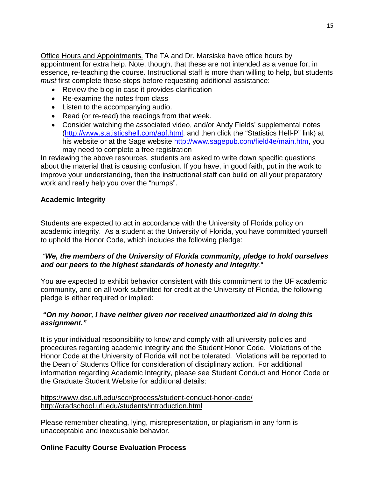Office Hours and Appointments*.* The TA and Dr. Marsiske have office hours by appointment for extra help. Note, though, that these are not intended as a venue for, in essence, re-teaching the course. Instructional staff is more than willing to help, but students *must* first complete these steps before requesting additional assistance:

- Review the blog in case it provides clarification
- Re-examine the notes from class
- Listen to the accompanying audio.
- Read (or re-read) the readings from that week.
- Consider watching the associated video, and/or Andy Fields' supplemental notes [\(http://www.statisticshell.com/apf.html,](http://www.statisticshell.com/apf.html) and then click the "Statistics Hell-P" link) at his website or at the Sage website [http://www.sagepub.com/field4e/main.htm,](http://www.sagepub.com/field4e/main.htm) you may need to complete a free registration

In reviewing the above resources, students are asked to write down specific questions about the material that is causing confusion. If you have, in good faith, put in the work to improve your understanding, then the instructional staff can build on all your preparatory work and really help you over the "humps".

# **Academic Integrity**

Students are expected to act in accordance with the University of Florida policy on academic integrity. As a student at the University of Florida, you have committed yourself to uphold the Honor Code, which includes the following pledge:

## *"We, the members of the University of Florida community, pledge to hold ourselves and our peers to the highest standards of honesty and integrity."*

You are expected to exhibit behavior consistent with this commitment to the UF academic community, and on all work submitted for credit at the University of Florida, the following pledge is either required or implied:

## *"On my honor, I have neither given nor received unauthorized aid in doing this assignment."*

It is your individual responsibility to know and comply with all university policies and procedures regarding academic integrity and the Student Honor Code. Violations of the Honor Code at the University of Florida will not be tolerated. Violations will be reported to the Dean of Students Office for consideration of disciplinary action. For additional information regarding Academic Integrity, please see Student Conduct and Honor Code or the Graduate Student Website for additional details:

## <https://www.dso.ufl.edu/sccr/process/student-conduct-honor-code/> <http://gradschool.ufl.edu/students/introduction.html>

Please remember cheating, lying, misrepresentation, or plagiarism in any form is unacceptable and inexcusable behavior.

# **Online Faculty Course Evaluation Process**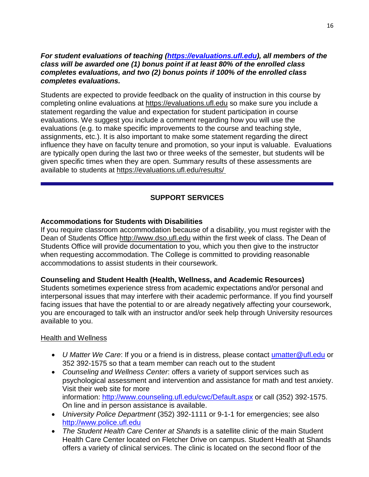#### *For student evaluations of teaching [\(https://evaluations.ufl.edu\)](https://evaluations.ufl.edu/), all members of the class will be awarded one (1) bonus point if at least 80% of the enrolled class completes evaluations, and two (2) bonus points if 100% of the enrolled class completes evaluations.*

Students are expected to provide feedback on the quality of instruction in this course by completing online evaluations at [https://evaluations.ufl.edu](https://evaluations.ufl.edu/) so make sure you include a statement regarding the value and expectation for student participation in course evaluations. We suggest you include a comment regarding how you will use the evaluations (e.g. to make specific improvements to the course and teaching style, assignments, etc.). It is also important to make some statement regarding the direct influence they have on faculty tenure and promotion, so your input is valuable. Evaluations are typically open during the last two or three weeks of the semester, but students will be given specific times when they are open. Summary results of these assessments are available to students at [https://evaluations.ufl.edu/results/](https://evaluations.ufl.edu/results/ )

# **SUPPORT SERVICES**

## **Accommodations for Students with Disabilities**

If you require classroom accommodation because of a disability, you must register with the Dean of Students Office [http://www.dso.ufl.edu](http://www.dso.ufl.edu/) within the first week of class. The Dean of Students Office will provide documentation to you, which you then give to the instructor when requesting accommodation. The College is committed to providing reasonable accommodations to assist students in their coursework.

## **Counseling and Student Health (Health, Wellness, and Academic Resources)**

Students sometimes experience stress from academic expectations and/or personal and interpersonal issues that may interfere with their academic performance. If you find yourself facing issues that have the potential to or are already negatively affecting your coursework, you are encouraged to talk with an instructor and/or seek help through University resources available to you.

## Health and Wellness

- *U Matter We Care*: If you or a friend is in distress, please contact [umatter@ufl.edu](mailto:umatter@ufl.edu) or 352 392-1575 so that a team member can reach out to the student
- *Counseling and Wellness Center*: offers a variety of support services such as psychological assessment and intervention and assistance for math and test anxiety. Visit their web site for more information: <http://www.counseling.ufl.edu/cwc/Default.aspx> or call (352) 392-1575. On line and in person assistance is available.
- *University Police Department* (352) 392-1111 or 9-1-1 for emergencies; see also [http://www.police.ufl.edu](http://www.police.ufl.edu/)
- *The Student Health Care Center at Shands* is a satellite clinic of the main Student Health Care Center located on Fletcher Drive on campus. Student Health at Shands offers a variety of clinical services. The clinic is located on the second floor of the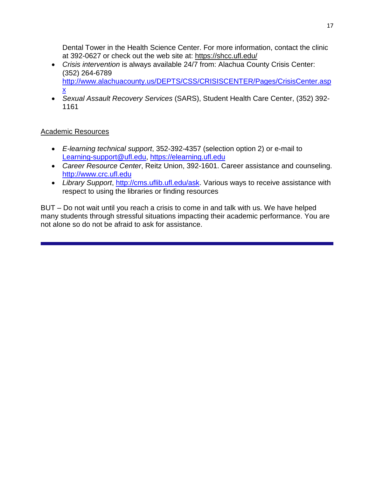Dental Tower in the Health Science Center. For more information, contact the clinic at 392-0627 or check out the web site at: <https://shcc.ufl.edu/>

- *Crisis intervention* is always available 24/7 from: Alachua County Crisis Center: (352) 264-6789 [http://www.alachuacounty.us/DEPTS/CSS/CRISISCENTER/Pages/CrisisCenter.asp](http://www.alachuacounty.us/DEPTS/CSS/CRISISCENTER/Pages/CrisisCenter.aspx) [x](http://www.alachuacounty.us/DEPTS/CSS/CRISISCENTER/Pages/CrisisCenter.aspx)
- *Sexual Assault Recovery Services* (SARS), Student Health Care Center, (352) 392- 1161

# Academic Resources

- *E-learning technical support*, 352-392-4357 (selection option 2) or e-mail to [Learning-support@ufl.edu,](mailto:Learning-support@ufl.edu) [https://elearning.ufl.edu](https://elearning.ufl.edu/)
- *Career Resource Center*, Reitz Union, 392-1601. Career assistance and counseling. [http://www.crc.ufl.edu](http://www.crc.ufl.edu/)
- *Library Support*, [http://cms.uflib.ufl.edu/ask.](http://cms.uflib.ufl.edu/ask) Various ways to receive assistance with respect to using the libraries or finding resources

BUT – Do not wait until you reach a crisis to come in and talk with us. We have helped many students through stressful situations impacting their academic performance. You are not alone so do not be afraid to ask for assistance.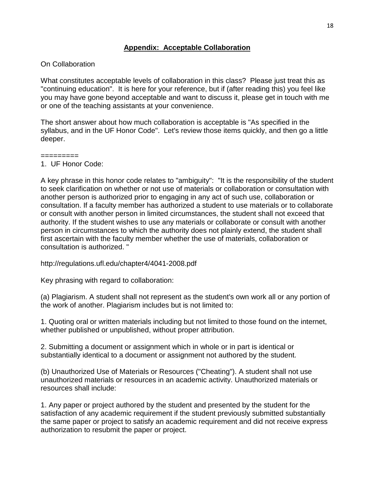# **Appendix: Acceptable Collaboration**

## On Collaboration

What constitutes acceptable levels of collaboration in this class? Please just treat this as "continuing education". It is here for your reference, but if (after reading this) you feel like you may have gone beyond acceptable and want to discuss it, please get in touch with me or one of the teaching assistants at your convenience.

The short answer about how much collaboration is acceptable is "As specified in the syllabus, and in the UF Honor Code". Let's review those items quickly, and then go a little deeper.

#### ========= 1. UF Honor Code:

A key phrase in this honor code relates to "ambiguity": "It is the responsibility of the student to seek clarification on whether or not use of materials or collaboration or consultation with another person is authorized prior to engaging in any act of such use, collaboration or consultation. If a faculty member has authorized a student to use materials or to collaborate or consult with another person in limited circumstances, the student shall not exceed that authority. If the student wishes to use any materials or collaborate or consult with another person in circumstances to which the authority does not plainly extend, the student shall first ascertain with the faculty member whether the use of materials, collaboration or consultation is authorized. "

http://regulations.ufl.edu/chapter4/4041-2008.pdf

Key phrasing with regard to collaboration:

(a) Plagiarism. A student shall not represent as the student's own work all or any portion of the work of another. Plagiarism includes but is not limited to:

1. Quoting oral or written materials including but not limited to those found on the internet, whether published or unpublished, without proper attribution.

2. Submitting a document or assignment which in whole or in part is identical or substantially identical to a document or assignment not authored by the student.

(b) Unauthorized Use of Materials or Resources ("Cheating"). A student shall not use unauthorized materials or resources in an academic activity. Unauthorized materials or resources shall include:

1. Any paper or project authored by the student and presented by the student for the satisfaction of any academic requirement if the student previously submitted substantially the same paper or project to satisfy an academic requirement and did not receive express authorization to resubmit the paper or project.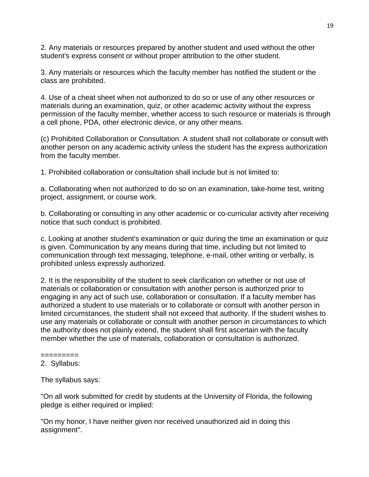2. Any materials or resources prepared by another student and used without the other student's express consent or without proper attribution to the other student.

3. Any materials or resources which the faculty member has notified the student or the class are prohibited.

4. Use of a cheat sheet when not authorized to do so or use of any other resources or materials during an examination, quiz, or other academic activity without the express permission of the faculty member, whether access to such resource or materials is through a cell phone, PDA, other electronic device, or any other means.

(c) Prohibited Collaboration or Consultation. A student shall not collaborate or consult with another person on any academic activity unless the student has the express authorization from the faculty member.

1. Prohibited collaboration or consultation shall include but is not limited to:

a. Collaborating when not authorized to do so on an examination, take-home test, writing project, assignment, or course work.

b. Collaborating or consulting in any other academic or co-curricular activity after receiving notice that such conduct is prohibited.

c. Looking at another student's examination or quiz during the time an examination or quiz is given. Communication by any means during that time, including but not limited to communication through text messaging, telephone, e-mail, other writing or verbally, is prohibited unless expressly authorized.

2. It is the responsibility of the student to seek clarification on whether or not use of materials or collaboration or consultation with another person is authorized prior to engaging in any act of such use, collaboration or consultation. If a faculty member has authorized a student to use materials or to collaborate or consult with another person in limited circumstances, the student shall not exceed that authority. If the student wishes to use any materials or collaborate or consult with another person in circumstances to which the authority does not plainly extend, the student shall first ascertain with the faculty member whether the use of materials, collaboration or consultation is authorized.

## =========

## 2. Syllabus:

The syllabus says:

"On all work submitted for credit by students at the University of Florida, the following pledge is either required or implied:

"On my honor, I have neither given nor received unauthorized aid in doing this assignment".